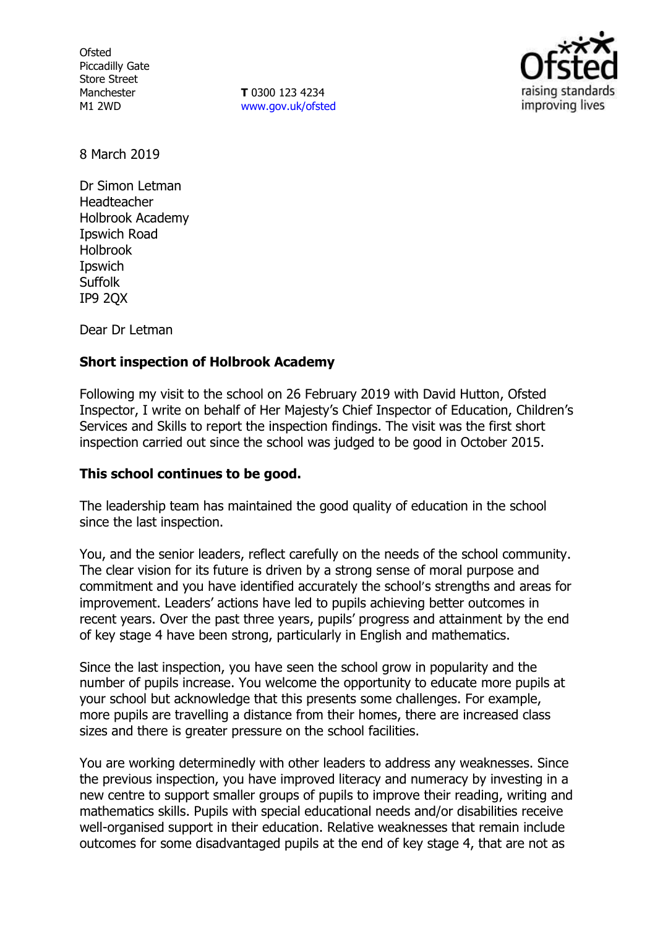**Ofsted** Piccadilly Gate Store Street Manchester M1 2WD

**T** 0300 123 4234 www.gov.uk/ofsted



8 March 2019

Dr Simon Letman Headteacher Holbrook Academy Ipswich Road Holbrook Ipswich **Suffolk** IP9 2QX

Dear Dr Letman

## **Short inspection of Holbrook Academy**

Following my visit to the school on 26 February 2019 with David Hutton, Ofsted Inspector, I write on behalf of Her Majesty's Chief Inspector of Education, Children's Services and Skills to report the inspection findings. The visit was the first short inspection carried out since the school was judged to be good in October 2015.

### **This school continues to be good.**

The leadership team has maintained the good quality of education in the school since the last inspection.

You, and the senior leaders, reflect carefully on the needs of the school community. The clear vision for its future is driven by a strong sense of moral purpose and commitment and you have identified accurately the school's strengths and areas for improvement. Leaders' actions have led to pupils achieving better outcomes in recent years. Over the past three years, pupils' progress and attainment by the end of key stage 4 have been strong, particularly in English and mathematics.

Since the last inspection, you have seen the school grow in popularity and the number of pupils increase. You welcome the opportunity to educate more pupils at your school but acknowledge that this presents some challenges. For example, more pupils are travelling a distance from their homes, there are increased class sizes and there is greater pressure on the school facilities.

You are working determinedly with other leaders to address any weaknesses. Since the previous inspection, you have improved literacy and numeracy by investing in a new centre to support smaller groups of pupils to improve their reading, writing and mathematics skills. Pupils with special educational needs and/or disabilities receive well-organised support in their education. Relative weaknesses that remain include outcomes for some disadvantaged pupils at the end of key stage 4, that are not as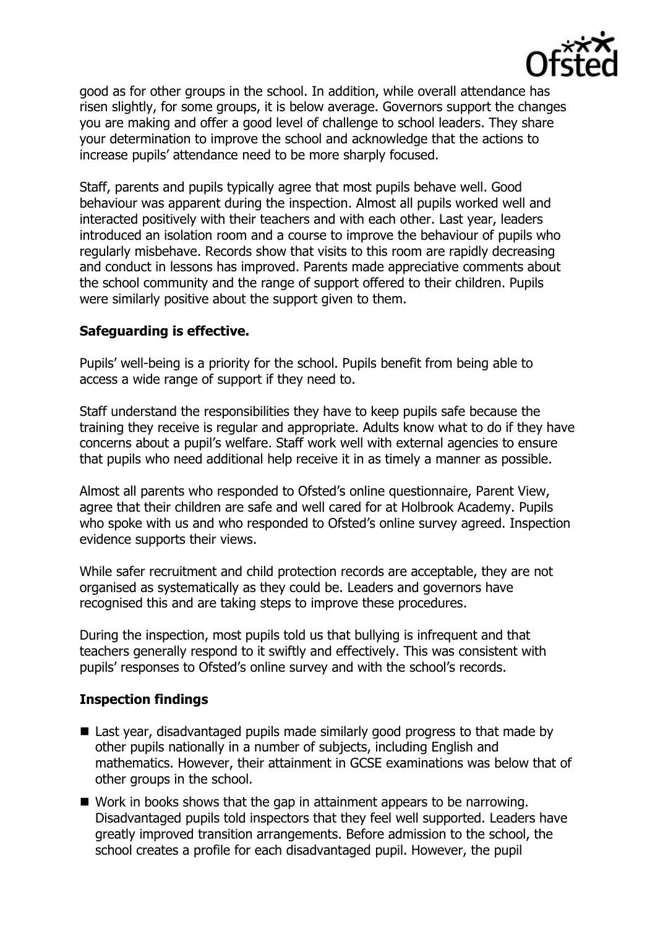

good as for other groups in the school. In addition, while overall attendance has risen slightly, for some groups, it is below average. Governors support the changes you are making and offer a good level of challenge to school leaders. They share your determination to improve the school and acknowledge that the actions to increase pupils' attendance need to be more sharply focused.

Staff, parents and pupils typically agree that most pupils behave well. Good behaviour was apparent during the inspection. Almost all pupils worked well and interacted positively with their teachers and with each other. Last year, leaders introduced an isolation room and a course to improve the behaviour of pupils who regularly misbehave. Records show that visits to this room are rapidly decreasing and conduct in lessons has improved. Parents made appreciative comments about the school community and the range of support offered to their children. Pupils were similarly positive about the support given to them.

# **Safeguarding is effective.**

Pupils' well-being is a priority for the school. Pupils benefit from being able to access a wide range of support if they need to.

Staff understand the responsibilities they have to keep pupils safe because the training they receive is regular and appropriate. Adults know what to do if they have concerns about a pupil's welfare. Staff work well with external agencies to ensure that pupils who need additional help receive it in as timely a manner as possible.

Almost all parents who responded to Ofsted's online questionnaire, Parent View, agree that their children are safe and well cared for at Holbrook Academy. Pupils who spoke with us and who responded to Ofsted's online survey agreed. Inspection evidence supports their views.

While safer recruitment and child protection records are acceptable, they are not organised as systematically as they could be. Leaders and governors have recognised this and are taking steps to improve these procedures.

During the inspection, most pupils told us that bullying is infrequent and that teachers generally respond to it swiftly and effectively. This was consistent with pupils' responses to Ofsted's online survey and with the school's records.

## **Inspection findings**

- Last year, disadvantaged pupils made similarly good progress to that made by other pupils nationally in a number of subjects, including English and mathematics. However, their attainment in GCSE examinations was below that of other groups in the school.
- Work in books shows that the gap in attainment appears to be narrowing. Disadvantaged pupils told inspectors that they feel well supported. Leaders have greatly improved transition arrangements. Before admission to the school, the school creates a profile for each disadvantaged pupil. However, the pupil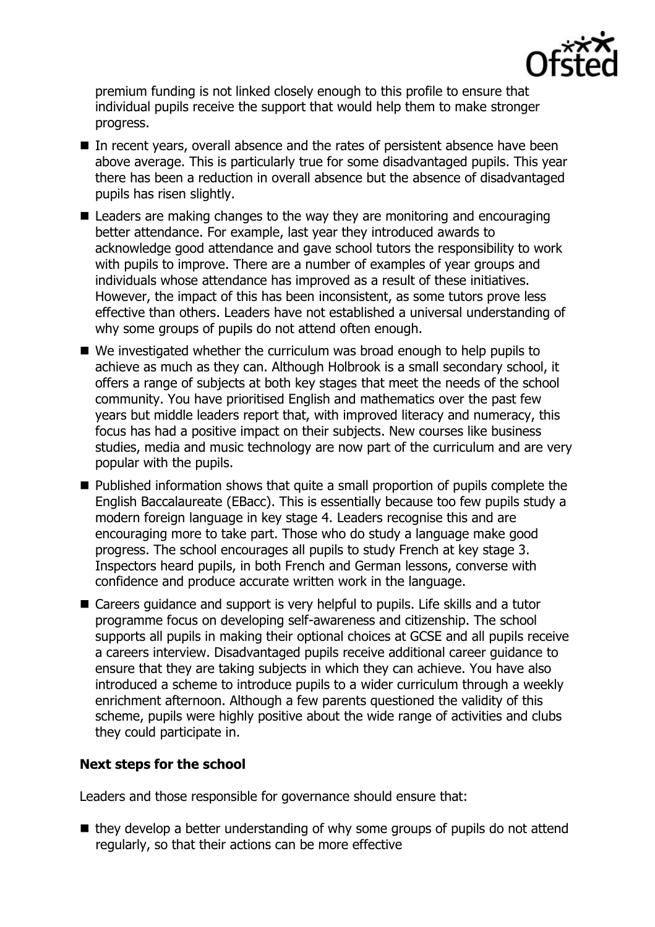

premium funding is not linked closely enough to this profile to ensure that individual pupils receive the support that would help them to make stronger progress.

- In recent years, overall absence and the rates of persistent absence have been above average. This is particularly true for some disadvantaged pupils. This year there has been a reduction in overall absence but the absence of disadvantaged pupils has risen slightly.
- Leaders are making changes to the way they are monitoring and encouraging better attendance. For example, last year they introduced awards to acknowledge good attendance and gave school tutors the responsibility to work with pupils to improve. There are a number of examples of year groups and individuals whose attendance has improved as a result of these initiatives. However, the impact of this has been inconsistent, as some tutors prove less effective than others. Leaders have not established a universal understanding of why some groups of pupils do not attend often enough.
- We investigated whether the curriculum was broad enough to help pupils to achieve as much as they can. Although Holbrook is a small secondary school, it offers a range of subjects at both key stages that meet the needs of the school community. You have prioritised English and mathematics over the past few years but middle leaders report that, with improved literacy and numeracy, this focus has had a positive impact on their subjects. New courses like business studies, media and music technology are now part of the curriculum and are very popular with the pupils.
- Published information shows that quite a small proportion of pupils complete the English Baccalaureate (EBacc). This is essentially because too few pupils study a modern foreign language in key stage 4. Leaders recognise this and are encouraging more to take part. Those who do study a language make good progress. The school encourages all pupils to study French at key stage 3. Inspectors heard pupils, in both French and German lessons, converse with confidence and produce accurate written work in the language.
- Careers guidance and support is very helpful to pupils. Life skills and a tutor programme focus on developing self-awareness and citizenship. The school supports all pupils in making their optional choices at GCSE and all pupils receive a careers interview. Disadvantaged pupils receive additional career guidance to ensure that they are taking subjects in which they can achieve. You have also introduced a scheme to introduce pupils to a wider curriculum through a weekly enrichment afternoon. Although a few parents questioned the validity of this scheme, pupils were highly positive about the wide range of activities and clubs they could participate in.

## **Next steps for the school**

Leaders and those responsible for governance should ensure that:

 $\blacksquare$  they develop a better understanding of why some groups of pupils do not attend regularly, so that their actions can be more effective